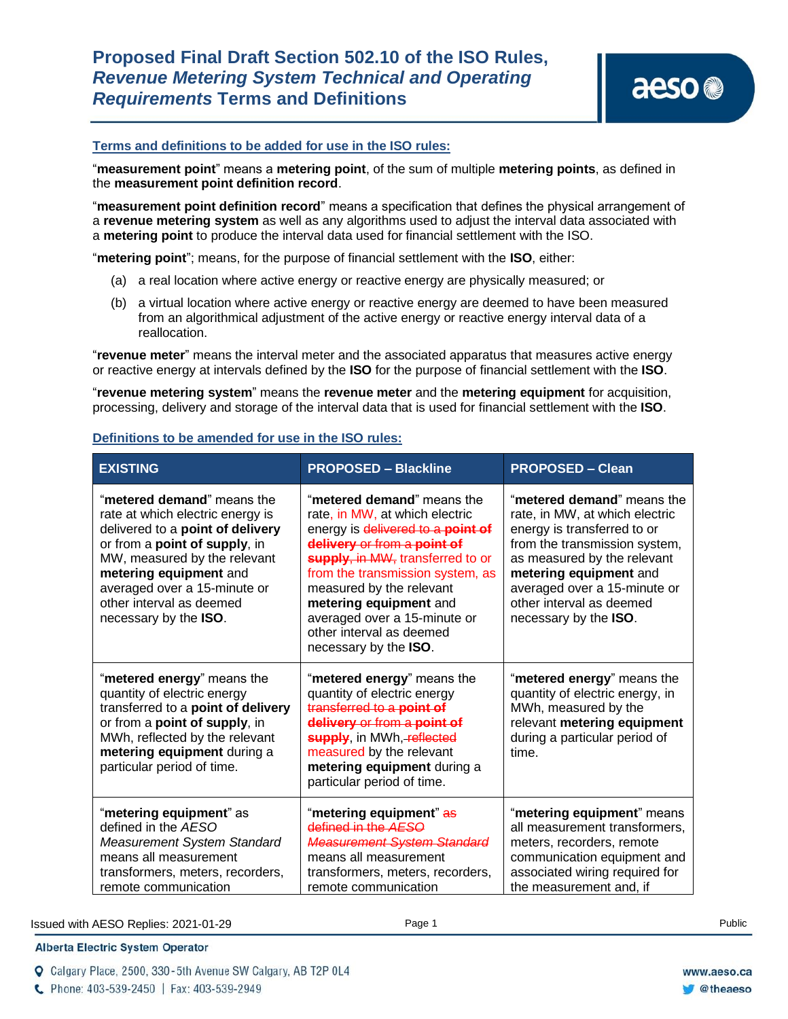## **Terms and definitions to be added for use in the ISO rules:**

"**measurement point**" means a **metering point**, of the sum of multiple **metering points**, as defined in the **measurement point definition record**.

"**measurement point definition record**" means a specification that defines the physical arrangement of a **revenue metering system** as well as any algorithms used to adjust the interval data associated with a **metering point** to produce the interval data used for financial settlement with the ISO.

"**metering point**"; means, for the purpose of financial settlement with the **ISO**, either:

- (a) a real location where active energy or reactive energy are physically measured; or
- (b) a virtual location where active energy or reactive energy are deemed to have been measured from an algorithmical adjustment of the active energy or reactive energy interval data of a reallocation.

"**revenue meter**" means the interval meter and the associated apparatus that measures active energy or reactive energy at intervals defined by the **ISO** for the purpose of financial settlement with the **ISO**.

"**revenue metering system**" means the **revenue meter** and the **metering equipment** for acquisition, processing, delivery and storage of the interval data that is used for financial settlement with the **ISO**.

## **Definitions to be amended for use in the ISO rules:**

| <b>EXISTING</b>                                                                                                                                                                                                                                                                    | <b>PROPOSED - Blackline</b>                                                                                                                                                                                                                                                                                                                         | <b>PROPOSED - Clean</b>                                                                                                                                                                                                                                                    |
|------------------------------------------------------------------------------------------------------------------------------------------------------------------------------------------------------------------------------------------------------------------------------------|-----------------------------------------------------------------------------------------------------------------------------------------------------------------------------------------------------------------------------------------------------------------------------------------------------------------------------------------------------|----------------------------------------------------------------------------------------------------------------------------------------------------------------------------------------------------------------------------------------------------------------------------|
| "metered demand" means the<br>rate at which electric energy is<br>delivered to a point of delivery<br>or from a point of supply, in<br>MW, measured by the relevant<br>metering equipment and<br>averaged over a 15-minute or<br>other interval as deemed<br>necessary by the ISO. | "metered demand" means the<br>rate, in MW, at which electric<br>energy is delivered to a point of<br>delivery or from a point of<br>supply, in MW, transferred to or<br>from the transmission system, as<br>measured by the relevant<br>metering equipment and<br>averaged over a 15-minute or<br>other interval as deemed<br>necessary by the ISO. | "metered demand" means the<br>rate, in MW, at which electric<br>energy is transferred to or<br>from the transmission system,<br>as measured by the relevant<br>metering equipment and<br>averaged over a 15-minute or<br>other interval as deemed<br>necessary by the ISO. |
| "metered energy" means the<br>quantity of electric energy<br>transferred to a point of delivery<br>or from a point of supply, in<br>MWh, reflected by the relevant<br>metering equipment during a<br>particular period of time.                                                    | "metered energy" means the<br>quantity of electric energy<br>transferred to a point of<br>delivery or from a point of<br>supply, in MWh, reflected<br>measured by the relevant<br>metering equipment during a<br>particular period of time.                                                                                                         | "metered energy" means the<br>quantity of electric energy, in<br>MWh, measured by the<br>relevant metering equipment<br>during a particular period of<br>time.                                                                                                             |
| "metering equipment" as<br>defined in the AESO<br><b>Measurement System Standard</b><br>means all measurement<br>transformers, meters, recorders,<br>remote communication                                                                                                          | "metering equipment" as<br>defined in the AESO<br><b>Measurement System Standard</b><br>means all measurement<br>transformers, meters, recorders,<br>remote communication                                                                                                                                                                           | "metering equipment" means<br>all measurement transformers,<br>meters, recorders, remote<br>communication equipment and<br>associated wiring required for<br>the measurement and, if                                                                                       |

Issued with AESO Replies: 2021-01-29 Page 1 Public

**Alberta Electric System Operator** 

Q Calgary Place, 2500, 330-5th Avenue SW Calgary, AB T2P 0L4

C Phone: 403-539-2450 | Fax: 403-539-2949